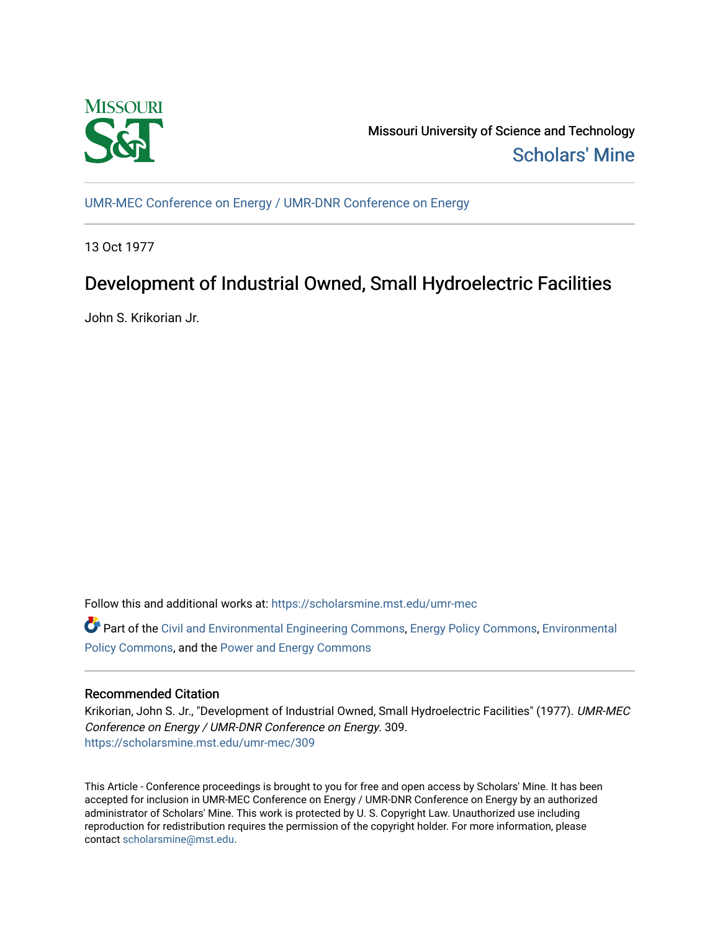

Missouri University of Science and Technology [Scholars' Mine](https://scholarsmine.mst.edu/) 

[UMR-MEC Conference on Energy / UMR-DNR Conference on Energy](https://scholarsmine.mst.edu/umr-mec)

13 Oct 1977

# Development of Industrial Owned, Small Hydroelectric Facilities

John S. Krikorian Jr.

Follow this and additional works at: [https://scholarsmine.mst.edu/umr-mec](https://scholarsmine.mst.edu/umr-mec?utm_source=scholarsmine.mst.edu%2Fumr-mec%2F309&utm_medium=PDF&utm_campaign=PDFCoverPages) 

Part of the [Civil and Environmental Engineering Commons](http://network.bepress.com/hgg/discipline/251?utm_source=scholarsmine.mst.edu%2Fumr-mec%2F309&utm_medium=PDF&utm_campaign=PDFCoverPages), [Energy Policy Commons,](http://network.bepress.com/hgg/discipline/1065?utm_source=scholarsmine.mst.edu%2Fumr-mec%2F309&utm_medium=PDF&utm_campaign=PDFCoverPages) [Environmental](http://network.bepress.com/hgg/discipline/1027?utm_source=scholarsmine.mst.edu%2Fumr-mec%2F309&utm_medium=PDF&utm_campaign=PDFCoverPages)  [Policy Commons](http://network.bepress.com/hgg/discipline/1027?utm_source=scholarsmine.mst.edu%2Fumr-mec%2F309&utm_medium=PDF&utm_campaign=PDFCoverPages), and the [Power and Energy Commons](http://network.bepress.com/hgg/discipline/274?utm_source=scholarsmine.mst.edu%2Fumr-mec%2F309&utm_medium=PDF&utm_campaign=PDFCoverPages) 

## Recommended Citation

Krikorian, John S. Jr., "Development of Industrial Owned, Small Hydroelectric Facilities" (1977). UMR-MEC Conference on Energy / UMR-DNR Conference on Energy. 309. [https://scholarsmine.mst.edu/umr-mec/309](https://scholarsmine.mst.edu/umr-mec/309?utm_source=scholarsmine.mst.edu%2Fumr-mec%2F309&utm_medium=PDF&utm_campaign=PDFCoverPages) 

This Article - Conference proceedings is brought to you for free and open access by Scholars' Mine. It has been accepted for inclusion in UMR-MEC Conference on Energy / UMR-DNR Conference on Energy by an authorized administrator of Scholars' Mine. This work is protected by U. S. Copyright Law. Unauthorized use including reproduction for redistribution requires the permission of the copyright holder. For more information, please contact [scholarsmine@mst.edu](mailto:scholarsmine@mst.edu).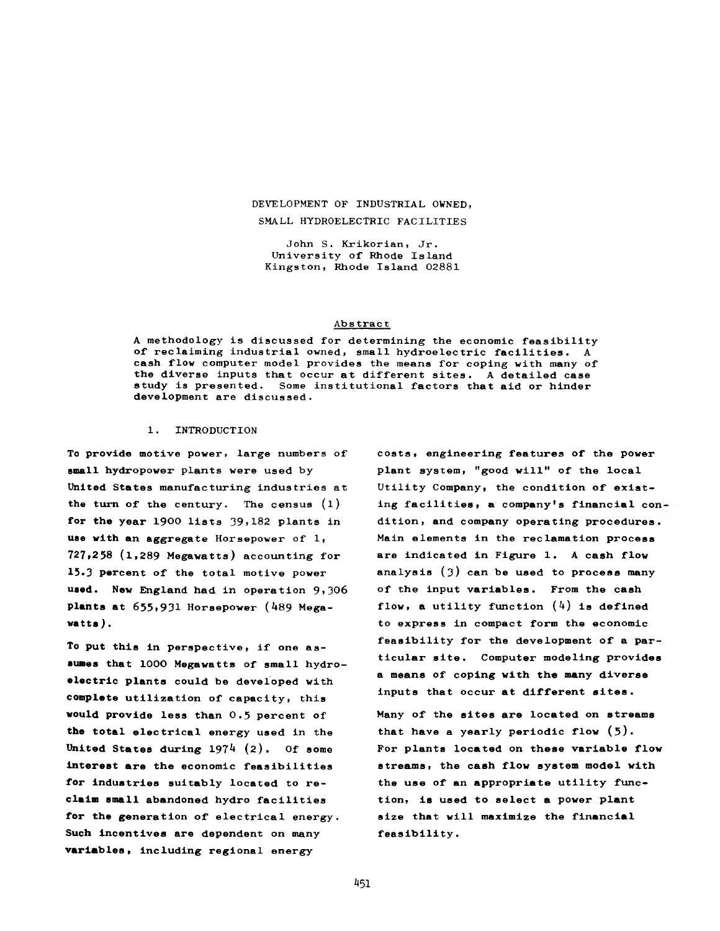## **DEVELOPMENT OF INDUSTRIAL OWNED, SMALL HYDROELECTRIC FACILITIES**

**John S. Krikorian, Jr. University of Rhode Island Kingston, Rhode Island 02881**

#### **Abstract**

**A methodology is discussed for determining the economic feasibility of reclaiming industrial owned, small hydroelectric facilities. A cash flow computer model provides the means for coping with many of the diverse inputs that occur at different sites. A detailed case study is presented. Some institutional factors that aid or hinder development are discussed.**

#### **1. INTRODUCTION**

**To provide motive power, large numbers of small hydropower plants were used by United States manufacturing industries at the turn of the century. The census (l) for the year 1900 lists 39,182 plants in use with an aggregate Horsepower of 1, 727,258 (l,289 Megawatts) accounting for 15.3 percent of the total motive power** used. New England had in operation 9,306 **plants at 655,931 Horsepower (^\*89 Megawatts** *)* **.**

**To put this in perspective, if one assumes that 1000 Megawatts of small hydroelectric plants could be developed with complete utilization of capacity, this would provide less than 0.5 percent of the total electrical energy used in the** United States during 1974 (2). Of some **interest are the economic feasibilities for industries suitably located to reclaim small abandoned hydro facilities for the generation of electrical energy. Such incentives are dependent on many variables, including regional energy**

**costs, engineering features of the power plant system, "good will" of the local Utility Company, the condition of existing facilities, a company's financial con dition, and company operating procedures. Main elements in the reclamation process are indicated in Figure 1. A cash flow** analysis (3) can be used to process many **of the input variables. From the cash flow, a utility function (4) is defined to express in compact form the economic feasibility for the development of a particular site. Computer modeling provides a means of coping with the many diverse inputs that occur at different sites.**

**Many of the sites are located on streams that have a yearly periodic flow (5). For plants located on these variable flow streams, the cash flow system model with the use of an appropriate utility function, is used to select a power plant size that will maximize the financial f eas ibility.**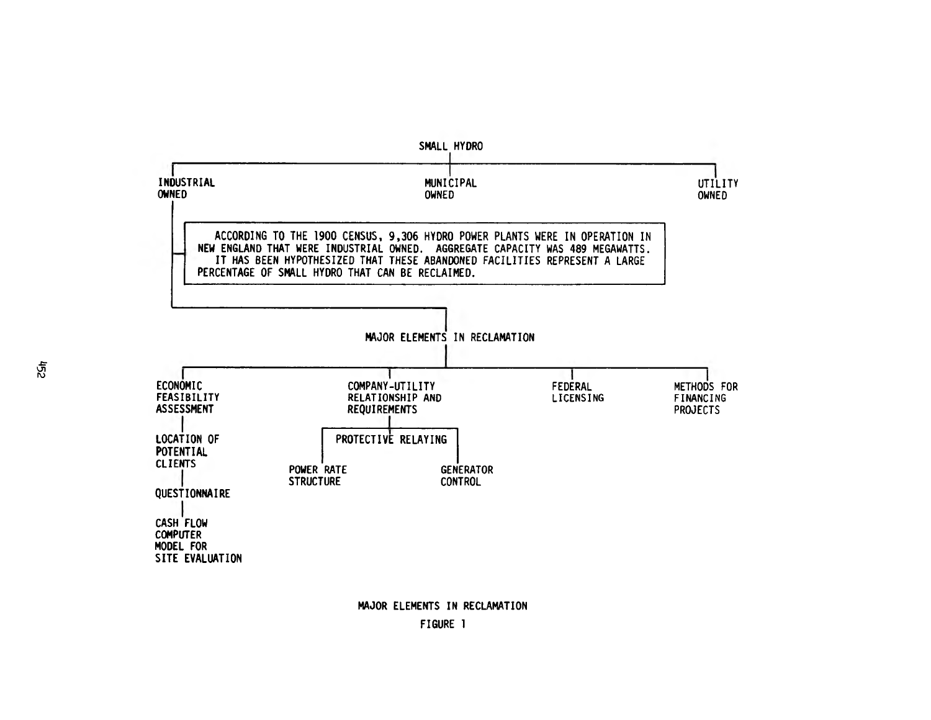

**MAJOR ELEMENTS IN RECLAMATION FIGURE 1**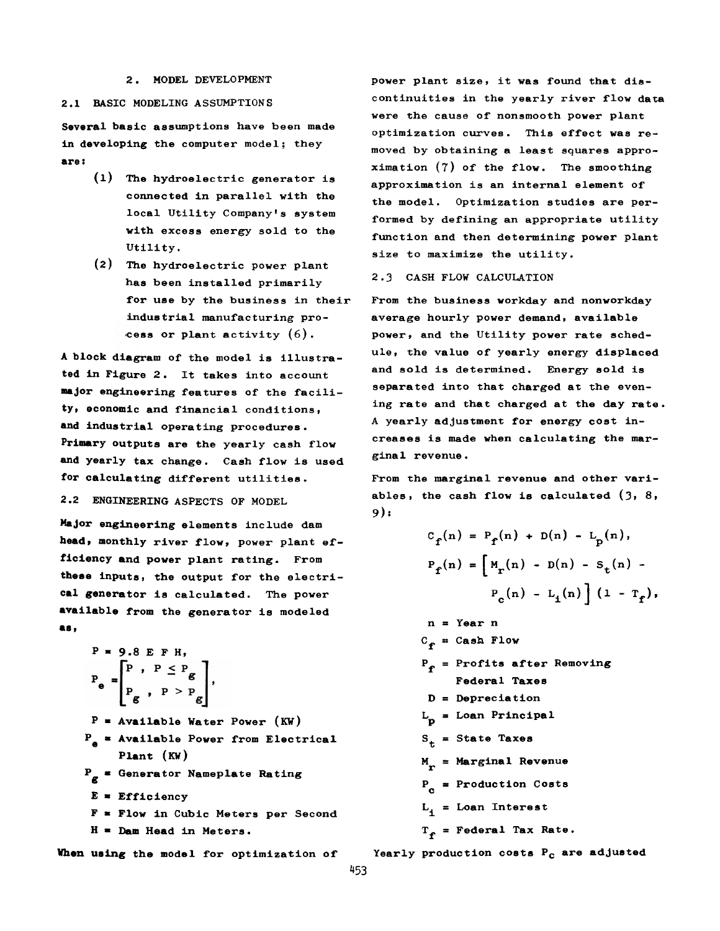#### **2. MODEL DEVELOPMENT**

#### **2.1 BASIC MODELING ASSUMPTIONS**

**Several basic assumptions have been made in developing the computer model; they are:**

- **(1) The hydroelectric generator is connected in parallel with the local Utility Company's system with excess energy sold to the Utility.**
- **(**2 **) The hydroelectric power plant has been installed primarily for use by the business in their industrial manufacturing process or plant activity (6).**

**A block diagram of the model is illustrated in Figure 2. It takes into account major engineering features of the facility, economic and financial conditions, and industrial operating procedures. Primary outputs are the yearly cash flow and yearly tax change. Cash flow is used for calculating different utilities.**

### **2.2 ENGINEERING ASPECTS OF MODEL**

**Major engineering elements include dam head, monthly river flow, power plant efficiency and power plant rating. From these inputs, the output for the electrical generator is calculated. The power available from the generator is modeled as»**

$$
P = 9.8 E F H,
$$
  
\n
$$
P_e = \begin{bmatrix} P & P & \leq P_g \\ P & P & & P & P_g \end{bmatrix},
$$
  
\n
$$
P = \text{Available Water Power (KW)}
$$
  
\n
$$
P_e = \text{Available Power from Electrical}
$$
  
\nPlant (KW)  
\n
$$
P_g = \text{Generator Nameplate Rating}
$$
  
\n
$$
E = \text{Efficiency}
$$
  
\n
$$
F = \text{Flow in Cubic Meters per Second}
$$
  
\n
$$
H = \text{Dom Head in Meters.}
$$

**When using the model for optimization of**

**power plant size, it was found that discontinuities in the yearly river flow data were the cause of nonsmooth power plant optimization curves. This effect was removed by obtaining a least squares approximation (7) of the flow. The smoothing approximation is an internal element of the model. Optimization studies are performed by defining an appropriate utility function and then determining power plant size to maximize the utility.**

#### **2.3 CASH FLOW CALCULATION**

**From the business workday and nonworkday average hourly power demand, available power, and the Utility power rate schedule, the value of yearly energy displaced and sold is determined. Energy sold is separated into that charged at the evening rate and that charged at the day rate. A yearly adjustment for energy cost increases is made when calculating the marginal revenue.**

**From the marginal revenue and other variables, the cash flow is calculated (3, 8, 9):**

$$
C_{f}(n) = P_{f}(n) + D(n) - L_{p}(n),
$$
  
\n
$$
P_{f}(n) = \left[ M_{r}(n) - D(n) - S_{t}(n) - D(n) - S_{t}(n) \right]
$$
  
\n
$$
P_{c}(n) - L_{i}(n) \left[ (1 - T_{f}), \frac{1}{n} \right]
$$

$$
n = Year n
$$
\n
$$
C_f = Cash Flow
$$
\n
$$
P_f = Profits after Removing
$$
\n
$$
Federal Taxes
$$
\n
$$
D = Depreciation
$$
\n
$$
L_f = Loan Principal
$$
\n
$$
S_t = State Taxes
$$
\n
$$
M_r = Marginal Revenue
$$
\n
$$
P_c = Production Costs
$$
\n
$$
L_i = Loan Interest
$$
\n
$$
T_f = Federal Tax Rate.
$$

**Yearly production costs Pc are adjusted**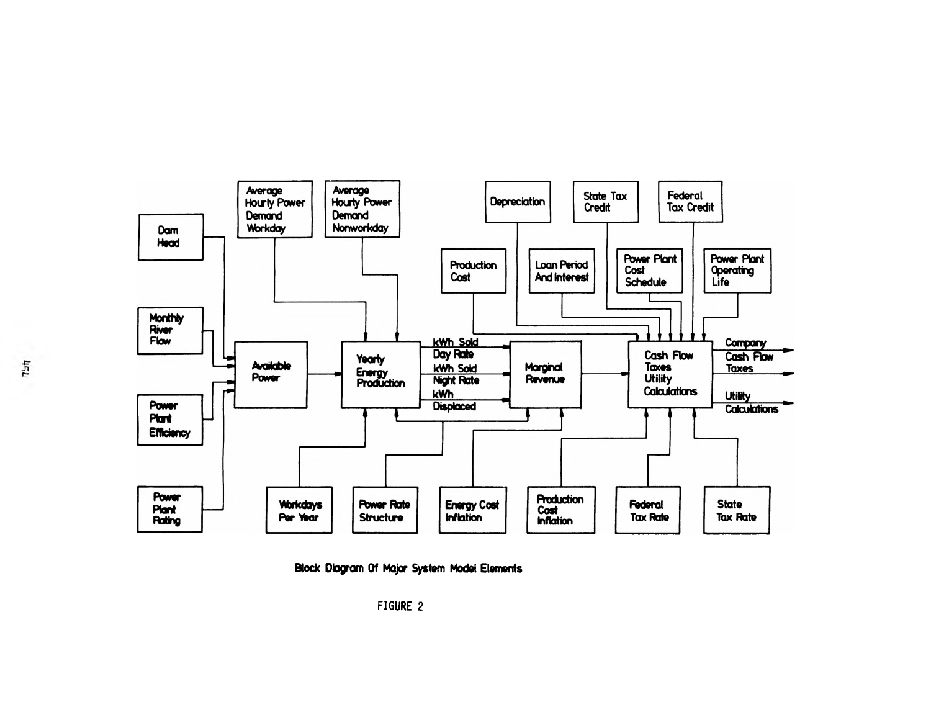



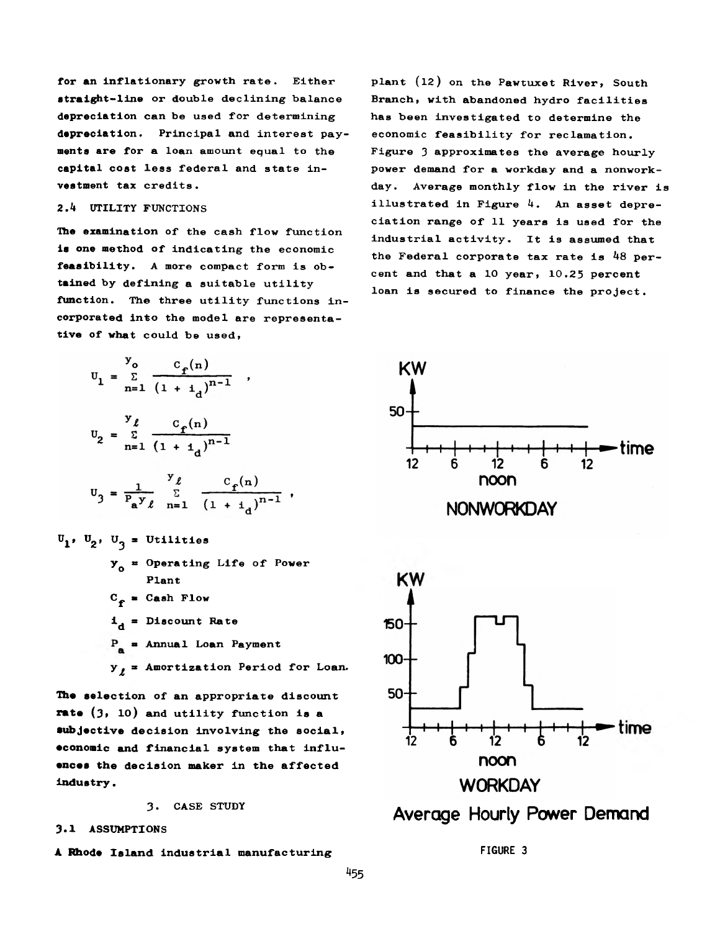**for an inflationary growth rate. Either straight-line or double declining balance depreciation can be used for determining depreciation. Principal and interest payments are for a loan amount equal to the capital cost less federal and state investment tax credits.**

## *2.h* **UTILITY FUNCTIONS**

**The examination of the cash flow function is one method of indicating the economic feasibility. A more compact form is obtained by defining a suitable utility function. The three utility functions incorporated into the model are representative of what could be used,**

$$
U_1 = \sum_{n=1}^{y_0} \frac{C_f(n)}{(1 + i_d)^{n-1}},
$$
  

$$
U_2 = \sum_{n=1}^{y} \frac{C_f(n)}{(1 + i_d)^{n-1}}
$$
  

$$
U_3 = \frac{1}{P_a y_\ell} \sum_{n=1}^{y_\ell} \frac{C_f(n)}{(1 + i_d)^{n-1}},
$$

- $U_1$ ,  $U_2$ ,  $U_3$  = Utilities **yQ \*\* Operating Life of Power Plant**  $C_e$  = Cash Flow  $i_A$  = Discount Rate **« Annual Loan Payment**
	- **y^ a Amortization Period for Loan.**

**The selection of an appropriate discount rate (3» 10) and utility function is a subjective decision involving the social, economic and financial system that influences the decision maker in the affected** industry.

**3. CASE STUDY**

### **3.1 ASSUMPTIONS**

**A Rhode Island industrial manufacturing FIGURE 3**

**plant (12) on the Pawtuxet River, South Branch, with abandoned hydro facilities has been investigated to determine the economic feasibility for reclamation. Figure 3 approximates the average hourly power demand for a workday and a nonworkday. Average monthly flow in the river is illustrated in Figure 4. An asset depreciation range of 11 years is used for the industrial activity. It is assumed that the Federal corporate tax rate is** *h8* **percent and that a 10 year, 10.25 percent loan is secured to finance the project.**



## Average Hourly Power Demand **Average Hourly Power Demand**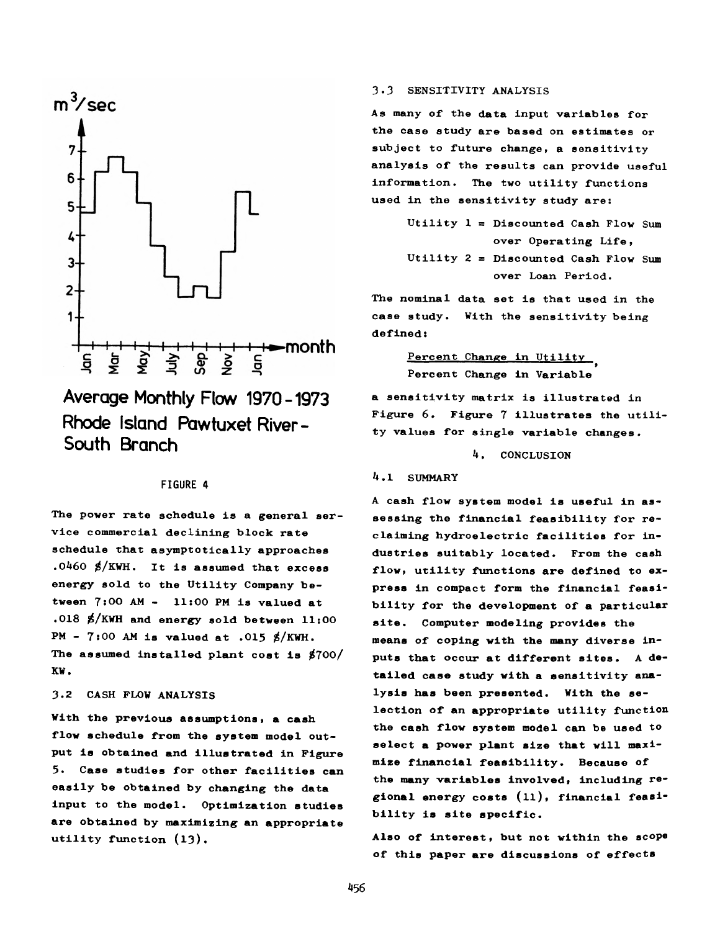

**Average Monthly Flow 1970-1973 Rhode Island Pawtuxet River - South Branch**

### **FIGURE 4**

**The power rate schedule is a general service commercial declining block rate schedule that asymptotically approaches .0460 \$/KWH. It is assumed that excess energy sold to the Utility Company between 7s00 AM — 11:00 PM is valued at .018 \$/KWH and energy sold between 11:00 PM - 7:00 AM is valued at .015 g/KWH. The assumed installed plant cost is \$700/ K W .**

### **3.2 CASH FLOW ANALYSIS**

With the previous assumptions, a cash **flow schedule from the system model output is obtained and illustrated in Figure 5. Case studies for other facilities can easily be obtained by changing the data input to the model. Optimization studies are obtained by maximizing an appropriate utility function (l3).**

### **3-3 SENSITIVITY ANALYSIS**

**As many of the data input variables for the case study are based on estimates or subject to future change, a sensitivity analysis of the results can provide useful information. The two utility functions used in the sensitivity study are:**

> **Utility 1 = Discounted Cash Flow Sum over Operating Life, Utility** *2* **= Discounted Cash Flow Sum over Loan Period.**

**The nominal data set is that used in the case study. With the sensitivity being defined:**

> **Percent Change in Utility \* Percent Change in Variable**

**a sensitivity matrix is illustrated in Figure 6. Figure 7 illustrates the utility values for single variable changes.**

*k.* **CONCLUSION**

#### *U* **. 1 SUMMARY**

**A cash flow system model is useful in assessing the financial feasibility for reclaiming hydroelectric facilities for industries suitably located. From the cash flow, utility functions are defined to express in compact form the financial feasibility for the development of a particular site. Computer modeling provides the means of coping with the many diverse inputs that occur at different sites. A detailed case study with a sensitivity analysis has been presented. With the selection of an appropriate utility function the cash flow system model can be used to select a power plant size that will maximize financial feasibility. Because of the many variables involved, including regional energy costs (ll), financial feasibility is site specific.**

**Also of interest, but not within the scope of this paper are discussions of effects**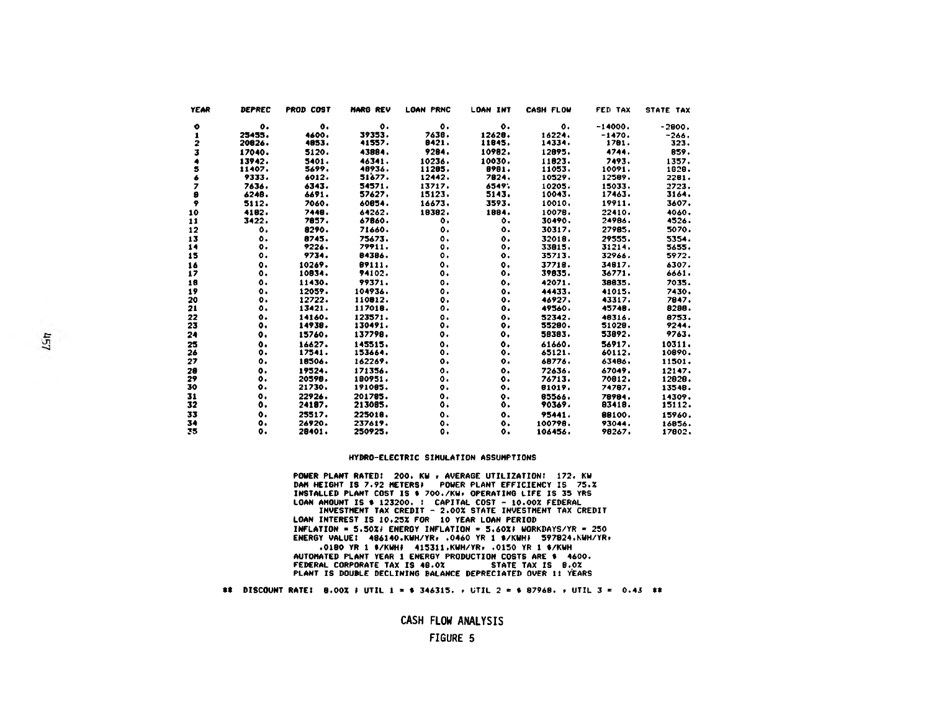| <b>YEAR</b> | <b>DEPREC</b>  | <b>PROD COST</b> | <b>MARG REV</b> | <b>LOAN PRNC</b> | <b>LOAN INT</b> | <b>CASH FLOW</b> | FED TAX   | STATE TAX |
|-------------|----------------|------------------|-----------------|------------------|-----------------|------------------|-----------|-----------|
| $\bullet$   | $\mathbf{o}$ . | о.               | $\mathbf{o}$ .  | $\mathbf{o}$ .   | $\bullet$       | о.               | $-14000.$ | $-2000.$  |
| 1           | 25455.         | 4600.            | 39353.          | 7638.            | 12628.          | 16224.           | $-1470.$  | $-266.$   |
| 2           | 20826.         | 4853.            | 41557.          | 8421.            | 11845.          | 14334.           | 1781.     | 323.      |
| 3           | 17040.         | 5120.            | 43884.          | 9284.            | 10982.          | 12895.           | 4744.     | 859.      |
|             | 13942.         | 5401.            | 46341.          | 10236.           | 10030.          | 11823.           | 7493.     | 1357.     |
| 5           | 11407.         | 5699.            | 48936.          | 11205.           | 8981.           | 11053.           | 10091.    | 1828.     |
| 6           | 9333.          | 6012.            | 51677.          | 12442.           | 7824.           | 10529.           | 12589.    | 2281.     |
| 7           | 7636.          | 6343.            | 54571.          | 13717.           | 6549.           | 10205.           | 15033.    | 2723.     |
| 9           | 6248.          | 6691.            | 57627.          | 15123.           | 5143.           | 10043.           | 17463.    | 3164.     |
| ۰           | 5112.          | 7060.            | 60854.          | 16673.           | 3593.           | 10010.           | 19911.    | 3607.     |
| 10          | 4182.          | 7448.            | 64262.          | 18382.           | 1884.           | 10078.           | 22410.    | 4060.     |
| 11          | 3422.          | 7857.            | 67860.          | о.               | ٥.              | 30490.           | 24986.    | 4526.     |
| 12          | ٥.             | 8290.            | 71660.          | ٥.               | ο.              | 30317.           | 27985.    | 5070.     |
| 13          | о.             | 8745.            | 75673.          | 0.               | $\mathbf{o}$ .  | 32018.           | 29555.    | 5354.     |
| 14          | о.             | 9226.            | 79911.          | о.               | $\mathbf{o}$ .  | 33815.           | 31214.    | 5655.     |
| 15          | о.             | 9734.            | 84386.          | о.               | $\mathbf{o}$ .  | 35713.           | 32966.    | 5972.     |
| 16          | о.             | 10269.           | 89111.          | ٥.               | о.              | 37718.           | 34817.    | 6307.     |
| 17          | о.             | 10934.           | 94102.          | о.               | о.              | 39835.           | 36771.    | 6661.     |
| 18          | ٥.             | 11430.           | 99371.          | о.               | о.              | 42071.           | 38835.    | 7035.     |
| 19          | ٥.             | 12059.           | 104936.         | ο.               | о.              | 44433.           | 41015.    | 7430.     |
| 20          | о.             | 12722.           | 110812.         | о.               | ο.              | 46927.           | 43317.    | 7847.     |
| 21          | ο.             | 13421.           | 117018.         | о.               | ο.              | 49560.           | 45748.    | 8298.     |
| 22          | $\mathbf{o}$ . | 14160.           | 123571.         | $\mathbf{o}$     | $\mathbf{o}$ .  | 52342.           | 48316.    | 8753.     |
| 23          | ٥.             | 14938.           | 130491.         | о.               | о.              | 55280.           | 51028.    | 9244.     |
| 24          | о.             | 15760.           | 137798.         | 0.               | ο.              | 58383.           | 53892.    | 9763.     |
| 25          | $\mathbf{o}$ . | 16627.           | 145515.         | о.               | ٥.              | 61660.           | 56917.    | 10311.    |
| 26          | ٥.             | 17541.           | 153664.         | о.               | ٥.              | 65121.           | 60112.    | 10890.    |
| 27          | ٥.             | 18506.           | 162269.         | о.               | о.              | 68776.           | 63486.    | 11501.    |
| 28          | о.             | 19524.           | 171356.         | $\mathbf{o}$ .   | ٥.              | 72636.           | 67049.    | 12147.    |
| 29          | о.             | 20598.           | 180951.         | о.               | ٥.              | 76713.           | 70912.    | 12828.    |
| 30          | $\mathbf{o}$ . | 21730.           | 191085.         | $\mathbf{o}$ .   | о.              | 81019.           | 74787.    | 13548.    |
| 31          | $\mathbf{o}$ . | 22926.           | 201785.         | о.               | о.              | 85566.           | 78984.    | 14309.    |
| 32          | ο.             | 24187.           | 213085.         | ٥.               | о.              | 90369.           | 83418.    | 15112.    |
| 33          | ۰.             | 25517.           | 225018.         | $\mathbf{o}$ .   | ٥.              | 95441.           | 88100.    | 15960.    |
| 34          | о.             | 26920.           | 237619.         | $\mathbf{o}$ .   | о.              | 100798.          | 93044.    | 16856.    |
| 35          | о.             | 28401.           | 250925.         | ٥.               | о.              | 106456.          | 98267.    | 17802.    |

#### HYDRO-ELECTRIC SIMULATION ASSUMPTIONS

POWER PLANT RATED: 200. KW r AVERAGE UTILIZATION: 172. KW DAM HEIGHT IS 7.92 METERS! POWER PLANT EFFICIENCY IS 75.X INSTALLED PLANT COST IS \* 700./KW» OPERATING LIFE IS 35 YRS LOAN AMOUNT IS \* 123200. : CAPITAL COST - 10.00% FEDERAL INVESTMENT TAX CREDIT - 2.00% STATE INVESTMENT TAX CREDIT

LOAN INTEREST IS 10.25% FOR 10 YEAR LOAN PERIOD INFLATION =  $5.50X$ <sup>2</sup> ENERGY INFLATION =  $5.60X$ <sup>2</sup> WORKDAYS/YR = 250 ENERGY VALUE: 486140.KWH/YRr .0460 YR 1 4/KWHJ 597824.KWH/YR» .0180 YR 1 \$/KWH\$ 415311.KWH/YR, .0150 YR 1 \$/KWH

AUTOMATED PLANT YEAR 1 ENERGY PRODUCTION COSTS ARE ♦ 4600. FEDERAL CORPORATE TAX IS 48.0% PLANT IS DOUBLE DECLINING BALANCE DEPRECIATED OVER 11 YEARS

#### \*\* DISCOUNT RATE! 8.00% » UTIL 1 » *\** 346315. » UTIL 2 = 4 87968. f UTIL 3 = 0.43 \*\*

**CASH FLOW ANALYSIS**

#### **FIGURE 5**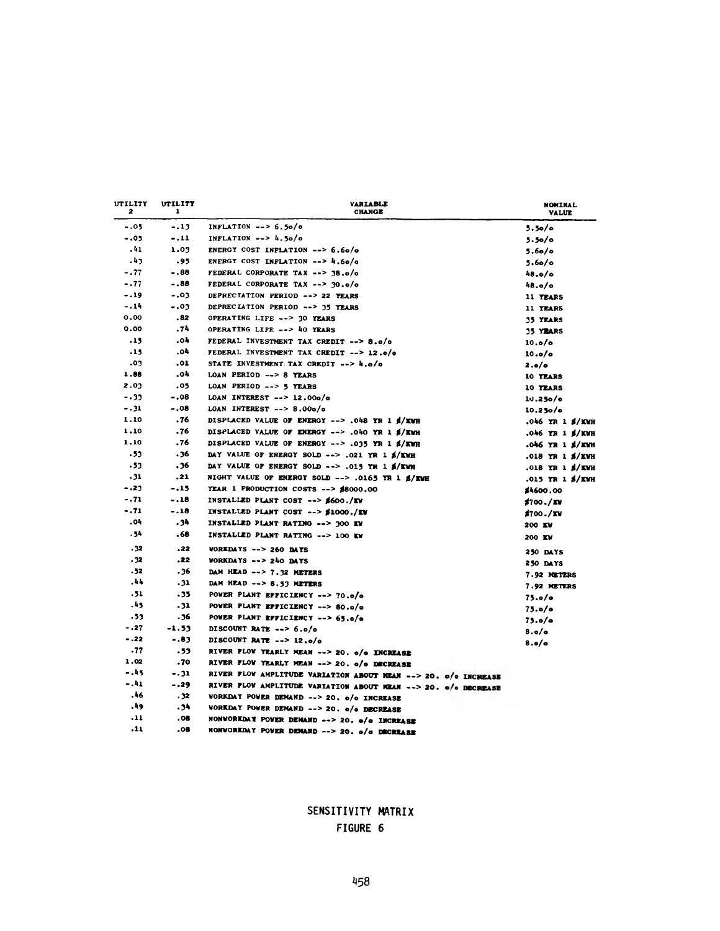| UTILITY<br>2 | utility<br>1 | <b><i>VARIABLE</i></b><br><b>CHANGE</b>                        | <b>NOMINAL</b><br><b>VALUE</b> |
|--------------|--------------|----------------------------------------------------------------|--------------------------------|
| $-.05$       | $-.13$       | INFLATION $\rightarrow$ 5.50/0                                 | 5.50/c                         |
| $-.05$       | $-.11$       | INFLATION $--$ 4.50/0                                          | $5.50$ o                       |
| .41          | 1.03         | ENERGY COST INFLATION --> 6.60/0                               | 5.60/c                         |
| .43          | .95          | ENERGY COST INFLATION $--$ 4.60/0                              | 5.60/c                         |
| $-.77$       | $-.88$       | FEDERAL CORPORATE TAX --> 38.0/0                               | 48.0/0                         |
| $-.77$       | $-.88$       | FEDERAL CORPORATE TAX --> 30.0/0                               | 48.o/o                         |
| $-.19$       | $-.03$       | DEPRECIATION PERIOD --> 22 YEARS                               | 11 TEARS                       |
| $-.14$       | $-.03$       | DEPRECIATION PERIOD --> 35 YEARS                               | 11 YEARS                       |
| 0.00         | .82          | OPERATING LIFE --> 30 YEARS                                    | 35 YEARS                       |
| 0.00         | .74          | OPERATING LIFE --> 40 YEARS                                    | <b>35 YEARS</b>                |
| .15          | -04          | FEDERAL INVESTMENT TAX CREDIT -- > 8.0/0                       | 10.0/6                         |
| .15          | .04          | FEDERAL INVESTMENT TAX CREDIT --> 12.0/0                       | 10.0/c                         |
| .03          | .01          | STATE INVESTMENT TAX CREDIT --> 4.0/0                          | 2.0/0                          |
| 1.88         | -04          | LOAN PERIOD --> 8 YEARS                                        | 10 TEARS                       |
| 2.03         | .05          | LOAN PERIOD --> 5 YEARS                                        | 10 YEARS                       |
| $-.33$       | $-.08$       | LOAN INTEREST $--$ 12.000/0                                    | 10.250/c                       |
| $-.31$       | $-.08$       | LOAN INTEREST $--$ 8.00o/o                                     | 10.250/c                       |
| 1.10         | .76          | DISPLACED VALUE OF ENERGY --> .048 YR 1 \$/KWH                 | .046 YR 1 \$/KWH               |
| 1.10         | .76          | DISPLACED VALUE OF ENERGY --> .040 YR 1 \$/KWH                 | .046 YR 1 \$/KWH               |
| 1.10         | .76          | DISPLACED VALUE OF ENERGY --> .035 YR 1 \$/KWR                 | .046 YR 1 \$/KWH               |
| .53          | .36          | DAY VALUE OF ENERGY SOLD --> .021 YR 1 \$/KWH                  | .018 YR 1 \$/KWH               |
| .53          | 36.          | DAY VALUE OF ENERGY SOLD --> .015 YR 1 \$/KWH                  | .018 YR 1 \$/KWH               |
| .31          | .21          | NIGHT VALUE OF ENERGY SOLD --> .0165 YR 1 \$/EWH               | .015 YR 1 \$/KWH               |
| $-.23$       | $-.15$       | YEAR 1 PRODUCTION COSTS --> \$8000.00                          | \$4600.00                      |
| $-.71$       | $-.18$       | INSTALLED PLANT COST --> \$600./KW                             | \$700./KV                      |
| $-.71$       | $-.18$       | INSTALLED PLANT COST --> \$1000./EV                            | \$700./KW                      |
| 40.          | .34          | INSTALLED PLANT RATING --> 300 KW                              | 200 EV                         |
| . 54         | .68          | INSTALLED PLANT RATING -- > 100 KW                             | 200 KV                         |
| .32          | .22          | <b>VORKDAYS --&gt; 260 DAYS</b>                                | 250 DAYS                       |
| .32          | .22          | WORKDAYS --> 240 DAYS                                          | 250 DAYS                       |
| - 52         | 36.          | DAM HEAD --> 7.32 METERS                                       | 7.92 METERS                    |
| -44          | .31          | DAM HEAD --> 8.53 METERS                                       | 7.92 METERS                    |
| . 51         | - 35         | POWER PLANT EFFICIENCY --> 70.0/0                              | 75.0/c                         |
| 54.          | .31          | POWER PLANT EFFICIENCY --> 80.0/0                              | 75.0/c                         |
| .33          | - 36         | POWER PLANT EFFICIENCY --> 65.0/0                              | 75.0/c                         |
| $-.27$       | -1.53        | DISCOUNT RATE --> 6.0/0                                        | 8.0/c                          |
| $-.22$       | $-.83$       | DISCOUNT RATE $--$ 12.0/0                                      | 8.0/c                          |
| .77          | .53          | RIVER FLOW YEARLY MEAN --> 20. o/o INCREASE                    |                                |
| 1.02         | .70          | RIVER FLOW YEARLY MEAN --> 20. o/o DECREASE                    |                                |
| - 45         | $-.31$       | RIVER FLOW AMPLITUDE VARIATION ABOUT MEAN --> 20. o/o INCREASE |                                |
| - 41         | $-.29$       | RIVER FLOW AMPLITUDE VARIATION ABOUT MEAN --> 20. 0/0 DECREASE |                                |
| . 46         | .32          | WORKDAY POWER DEMAND --> 20. o/o INCREASE                      |                                |
| 49.          | -34          | WORKDAY POWER DEMAND --> 20. o/o DECREASE                      |                                |
| $\cdot$ 11   | .08          | NONWORKDAY POWER DEMAND --> 20. o/o INCREASE                   |                                |
| .11          | .08          | NONWORKDAY POWER DEMAND --> 20. o/c DECREASE                   |                                |

**SENSITIVITY MATRIX FIGURE 6**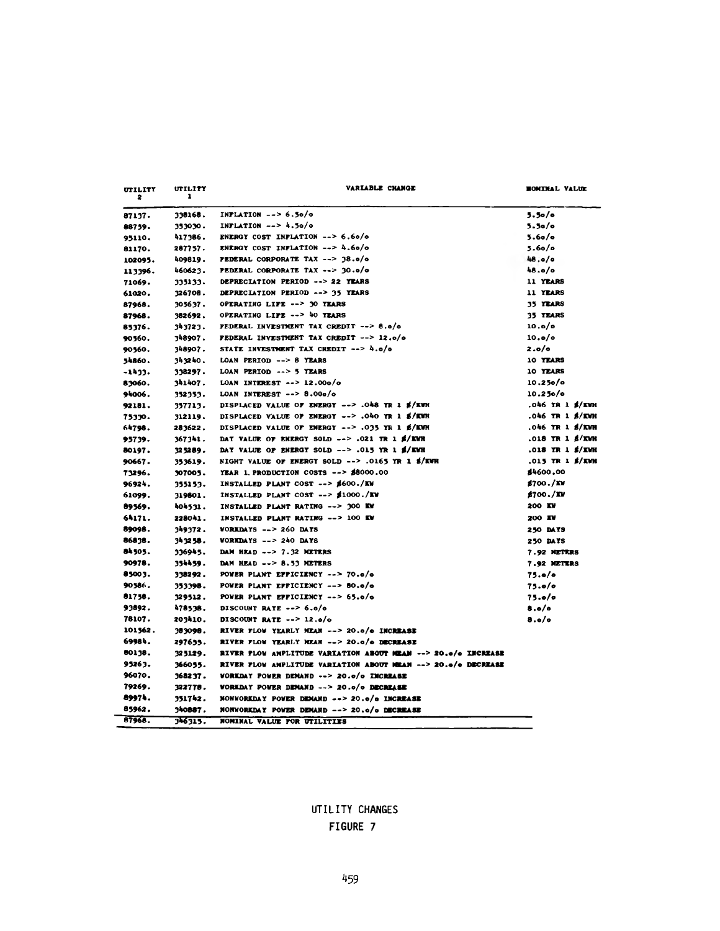| <b>UTILITY</b><br>2 | UTILITY<br>ı | VARIABLE CHANGE                                               | <b>HOMINAL VALUE</b>   |
|---------------------|--------------|---------------------------------------------------------------|------------------------|
| 87137.              | 338168.      | INPLATION $--$ 6.50/0                                         | 5.50/c                 |
| 88759.              | 353030.      | INFLATION $--$ 4.50/0                                         | 5.50/c                 |
| 95110.              | 417386.      | ENERGY COST INFLATION $--$ 6.60/0                             | 5.60/c                 |
| 81170.              | 287757.      | ENERGY COST INFLATION $--$ 4.60/0                             | 5.60/c                 |
| 102095.             | 409819.      | FEDERAL CORPORATE TAX --> 38.0/0                              | 48.a/o                 |
| 113396.             | 460623.      | <b>FEDERAL CORPORATE TAX --&gt; 30.0/0</b>                    | 48.0/0                 |
| 71069.              | 335133.      | DEPRECIATION PERIOD --> 22 YEARS                              | 11 YEARS               |
| 61020.              | 326708.      | DEPRECLATION PERIOD --> 35 YEARS                              | 11 YEARS               |
| 87968.              | 305637.      | OPERATING LIFE --> 30 YEARS                                   | 35 YEARS               |
| 87968.              | 382692.      | OPERATING LIFE --> 40 YEARS                                   | <b>35 TEARS</b>        |
| 85376.              | 343723.      | FEDERAL INVESTMENT TAX CREDIT --> 8.0/0                       | 10.0/c                 |
| 90560.              | 348907.      | FEDERAL INVESTMENT TAX CREDIT $--$ 12.0/0                     | 10.0/c                 |
| 90560.              | 348907.      | STATE INVESTMENT TAX CREDIT --> 4.0/0                         | 2.0/0                  |
| 34860.              | 343240.      | LOAN PERIOD --> 8 YEARS                                       | 10 YEARS               |
| -1433.              | 338297.      | LOAN PERIOD --> 5 YEARS                                       | 10 YEARS               |
| 83060.              | 341407.      | LOAN INTEREST $\rightarrow$ 2.000/0                           | 10.250/c               |
| 94006.              | 352353.      | LOAN INTEREST $\leftarrow$ 8.000/0                            | 10.250/c               |
| 92181.              | 357713.      | DISPLACED VALUE OF ENERGY --> .048 YR 1 \$/KWR                | .046 TR 1 \$/KWH       |
| 75330.              | 312119.      | DISPLACED VALUE OF ENERGY --> .040 YR 1 S/KWH                 | .046 TR 1 \$/KWH       |
| 64798.              | 283622.      | DISPLACED VALUE OF ENERGY --> .035 YR 1 S/KWH                 | .046 TR 1 <b>S/KWH</b> |
| 95739.              | 367341.      | DAY VALUE OF ENERGY SOLD --> .021 TR 1 \$/KWH                 | .018 TR 1 S/KWH        |
| 80197.              | 325289.      | DAY VALUE OF ENERGY SOLD --> .015 YR 1 \$/EWR                 | .018 TR 1 \$/IWH       |
| 90667.              | 353619.      | NIGHT VALUE OF ENERGY SOLD --> .0165 YR 1 S/KWH               | .015 TR 1 \$/KWH       |
| 73296.              | 307005.      | YEAR 1. PRODUCTION COSTS $---$ \$8000.00                      | \$4600.00              |
| 96924.              | 355153.      | INSTALLED PLANT COST --> \$600./KW                            | \$700./KW              |
| 61099.              | 319801.      | INSTALLED PLANT COST --> \$1000./EV                           | \$700./KW              |
| 89569.              | 404531.      | INSTALLED PLANT RATING --> 300 KV                             | 200 I.W                |
| 64171.              | 228041.      | INSTALLED PLANT RATING -- > 100 EW                            | 200 IV                 |
| 89098.              | 349372.      | WORKDAYS $--$ 260 DAYS                                        | 250 DAYS               |
| 86838.              | 343258.      | <b>WORKDAYS <math>--</math> 240 DAYS</b>                      | 250 DATS               |
| 84505.              | 336945.      | DAM HEAD --> 7.32 METERS                                      | 7.92 METERS            |
| 90978.              |              | DAM HEAD --> 8.53 METERS                                      |                        |
| 85003.              | 354459.      | POWER PLANT EFFICIENCY --> 70.0/0                             | 7.92 METERS            |
| 90586.              | 338292.      |                                                               | 75.0/c                 |
|                     | 353398.      | POWER PLANT EFFICIENCY --> 80.0/0                             | 75.0/c                 |
| 81758.              | 329512.      | POWER PLANT EPFICIENCY --> 65.0/0                             | 75.0/c                 |
| 93892.              | 478538.      | DISCOUNT RATE $--$ 6.0/0                                      | 8.0/0                  |
| 78107.              | 203410.      | DISCOUNT RATE $--$ 12.0/0                                     | 8.o/o                  |
| 101562.             | 383098.      | RIVER FLOW YEARLY MEAN --> 20.0/0 INCREASE                    |                        |
| 69984.              | 297655.      | RIVER FLOW YEARLY MEAN --> 20.0/0 DECREASE                    |                        |
| 80138.              | 325129.      | RIVER FLOW AMPLITUDE VARIATION ABOUT MEAN --> 20.0/0 INCREASE |                        |
| 95263.              | 366055.      | RIVER FLOW AMPLITUDE VARIATION ABOUT MEAN --> 20.0/0 DECREASE |                        |
| 96070.              | 368237.      | WORKDAY POWER DEMAND --> 20.0/0 INCREASE                      |                        |
| 79269.              | 322778.      | <b>WORKDAY POWER DEMAND --&gt; 20.0/0 DECREASE</b>            |                        |
| 89974.              | 351742.      | NONWORKDAY POWER DEMAND --> 20.0/0 INCREASE                   |                        |
| 85962.              | 340887.      | NONWORKDAY POWER DEMAND --> 20.0/0 DECREASE                   |                        |

## **UTILITY CHANGES FIGURE 7**